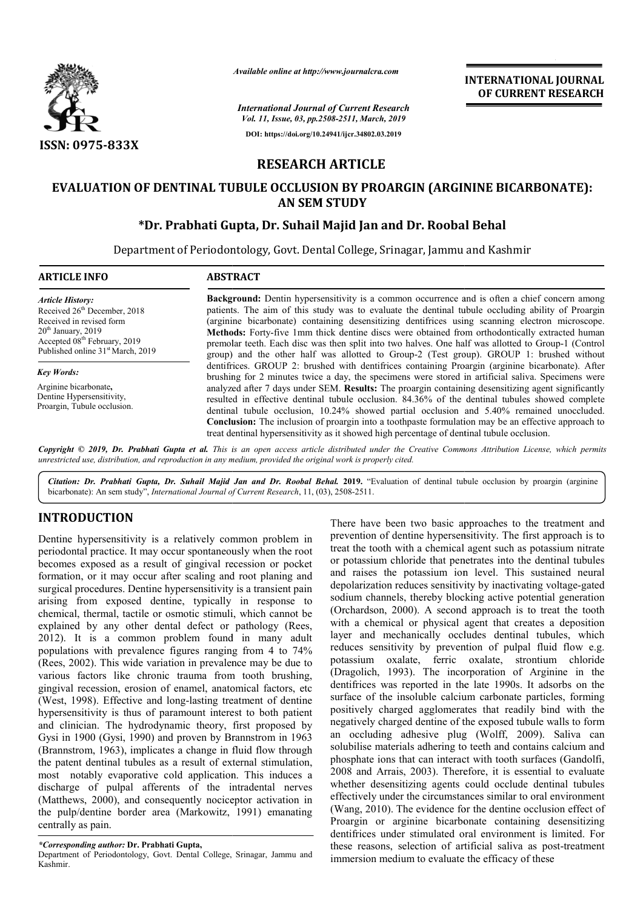

*Available online at http://www.journalcra.com*

*International Journal of Current Research Vol. 11, Issue, 03, pp.2508-2511, March, 2019* **DOI: https://doi.org/10.24941/ijcr.34802.03.2019**

**INTERNATIONAL JOURNAL OF CURRENT RESEARCH**

# **RESEARCH ARTICLE**

# **EVALUATION OF DENTINAL TUBULE OCCLUSION BY PROARGIN (ARGININE BICARBONATE): AN SEM STUDY**

# **\*Dr. Prabhati Gupta Dr. Gupta, Dr. Suhail Majid Jan and Dr. Roobal Behal**

Department of Periodontology, Govt. Dental College, Srinagar, Jammu and Kashmir Department of

| <b>ARTICLE INFO</b>                                                                                                                                                                                                  | <b>ABSTRACT</b>                                                                                                                                                                                                                                                                                                                                                                                                                                                                                                                                                                                                                                                                                                                  |  |  |  |  |
|----------------------------------------------------------------------------------------------------------------------------------------------------------------------------------------------------------------------|----------------------------------------------------------------------------------------------------------------------------------------------------------------------------------------------------------------------------------------------------------------------------------------------------------------------------------------------------------------------------------------------------------------------------------------------------------------------------------------------------------------------------------------------------------------------------------------------------------------------------------------------------------------------------------------------------------------------------------|--|--|--|--|
| <b>Article History:</b><br>Received 26 <sup>th</sup> December, 2018<br>Received in revised form<br>$20th$ January, 2019<br>Accepted 08 <sup>th</sup> February, 2019<br>Published online 31 <sup>st</sup> March, 2019 | <b>Background:</b> Dentin hypersensitivity is a common occurrence and is often a chief concern among<br>patients. The aim of this study was to evaluate the dentinal tubule occluding ability of Proargin<br>(arginine bicarbonate) containing desensitizing dentifrices using scanning electron microscope.<br><b>Methods:</b> Forty-five 1mm thick dentine discs were obtained from orthodontically extracted human<br>premolar teeth. Each disc was then split into two halves. One half was allotted to Group-1 (Control<br>group) and the other half was allotted to Group-2 (Test group). GROUP 1: brushed without                                                                                                         |  |  |  |  |
| <b>Key Words:</b><br>Arginine bicarbonate,<br>Dentine Hypersensitivity,<br>Proargin, Tubule occlusion.                                                                                                               | dentifrices. GROUP 2: brushed with dentifrices containing Proargin (arginine bicarbonate). After<br>brushing for 2 minutes twice a day, the specimens were stored in artificial saliva. Specimens were<br>analyzed after 7 days under SEM. <b>Results:</b> The proargin containing desensitizing agent significantly<br>resulted in effective dentinal tubule occlusion. 84.36% of the dentinal tubules showed complete<br>dentinal tubule occlusion, 10.24% showed partial occlusion and 5.40% remained unoccluded.<br><b>Conclusion:</b> The inclusion of proargin into a toothpaste formulation may be an effective approach to<br>treat dentinal hypersensitivity as it showed high percentage of dentinal tubule occlusion. |  |  |  |  |
|                                                                                                                                                                                                                      | Countries 2010 Dr. Duris Court of This is an account of the third of the Country Common Aughestic Lines which accounts                                                                                                                                                                                                                                                                                                                                                                                                                                                                                                                                                                                                           |  |  |  |  |

Copyright © 2019, Dr. Prabhati Gupta et al. This is an open access article distributed under the Creative Commons Attribution License, which permits *unrestricted use, distribution, and reproduction in any medium, provided the original work is properly cited.*

Citation: Dr. Prabhati Gupta, Dr. Suhail Majid Jan and Dr. Roobal Behal. 2019. "Evaluation of dentinal tubule occlusion by proargin (arginine bicarbonate): An sem study", *International Journal of Current Research*, 11, (03), 2508-2511.

# **INTRODUCTION**

Dentine hypersensitivity is a relatively common problem in periodontal practice. It may occur spontaneously when the root becomes exposed as a result of gingival recession or pocket formation, or it may occur after scaling and root planing and surgical procedures. Dentine hypersensitivity is a transient pain arising from exposed dentine, typically in response to chemical, thermal, tactile or osmotic stimuli, which cannot be explained by any other dental defect or pathology (Rees, 2012). It is a common problem found in many adult populations with prevalence figures ranging from 4 to 74% (Rees, 2002). This wide variation in prevalence may be due to various factors like chronic trauma from tooth brushing, gingival recession, erosion of enamel, anatomical factors, etc (West, 1998). Effective and long-lasting treatment of dentine hypersensitivity is thus of paramount interest to both patient and clinician. The hydrodynamic theory, first proposed by Gysi in 1900 (Gysi, 1990) and proven by Brannstrom in 1963 (Brannstrom, 1963), implicates a change in fluid flow through the patent dentinal tubules as a result of external stimulation, most notably evaporative cold application. This induces a discharge of pulpal afferents of the intradental nerves (Matthews, 2000), and consequently nociceptor activation in the pulp/dentine border area (Markowitz, 1991) emanating centrally as pain. n in prevalence may be due to<br>rauma from tooth brushing,<br>namel, anatomical factors, etc<br>g-lasting treatment of dentine<br>mount interest to both patient

*\*Corresponding author:* **Dr. Prabhati Gupta,**

Department of Periodontology, Govt. Dental College, Srinagar, Jammu and Kashmir.

There have been two basic approaches to the treatment and prevention of dentine hypersensitivity. The first approach is to treat the tooth with a chemical agent such as potassium nitrate or potassium chloride that penetrates into the dentinal tubules and raises the potassium ion level. This sustained neural depolarization reduces sensitivity by inactivating voltage-gated sodium channels, thereby blocking active potential generation (Orchardson, 2000). A second approach is to treat the tooth with a chemical or physical agent that creates a deposition with a chemical or physical agent that creates a deposition<br>layer and mechanically occludes dentinal tubules, which reduces sensitivity by prevention of pulpal fluid flow e.g. potassium oxalate, ferric oxalate, strontium chloride (Dragolich, 1993). The incorporation of Arginine in the dentifrices was reported in the late 1990s. It adsorbs on the surface of the insoluble calcium carbonate particles, forming positively charged agglomerates that readily bind with the negatively charged dentine of the exposed tubule walls to form an occluding adhesive plug (Wolff, 2009). Saliva can solubilise materials adhering to teeth and contains calcium and phosphate ions that can interact with tooth surfaces (Gandolfi, 2008 and Arrais, 2003). Therefore, it is essential to evaluate whether desensitizing agents could occlude dentinal tubules effectively under the circumstances similar to oral environment (Wang, 2010). The evidence for the dentine occlusion effect of Proargin or arginine bicarbonate containing desensitizing dentifrices under stimulated oral environment is limited. For these reasons, selection of artificial saliva as post immersion medium to evaluate the efficacy of these th with a chemical agent such as potassium nitrate a chloride that penetrates into the dentinal tubules the potassium ion level. This sustained neural on reduces sensitivity by inactivating voltage-gated nsitivity by prevention of pulpal fluid flow e.g.<br>
oxalate, ferric oxalate, strontium chloride<br>
1993). The incorporation of Arginine in the<br>
was reported in the late 1990s. It adsorbs on the<br>
the insoluble calcium carbonat . Therefore, it is essential to evaluate<br>ugents could occlude dentinal tubules<br>cumstances similar to oral environment for the dentine occlusion effect of<br>rbonate containing desensitizing<br>oral environment is limited. For<br>artificial saliva as post-treatment Form INTERNATIONAL JOURNAL<br>
Form INTERNATIONAL JOURNAL<br>
Form Internal Correct Context Context Context Context Context Context Context Context Context Context Context Context Context Context Context Context Context Context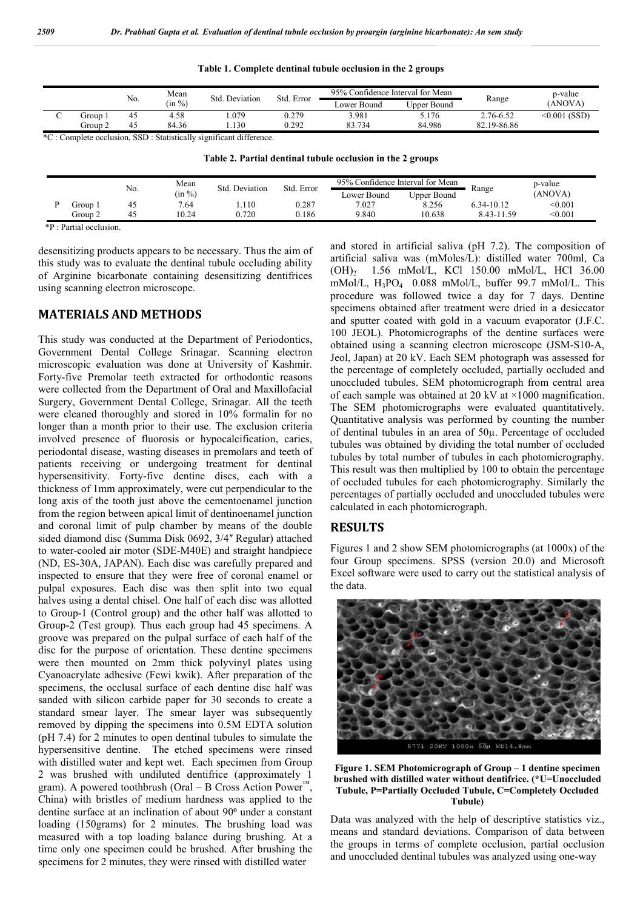|         |     | Mean   | Std. Deviation | Std. Error | 95% Confidence Interval for Mean |             |             | p-value        |
|---------|-----|--------|----------------|------------|----------------------------------|-------------|-------------|----------------|
|         | No. | (in %) |                |            | Lower Bound                      | Upper Bound | Range       | (ANOVA)        |
| Group   | 45  | 4.58   | .079           | 0.279      | 3.981                            | 5.176       | 2.76-6.52   | $<0.001$ (SSD) |
| Group 2 | 45  | 84.36  | . 130          | 0.292      | 83.734                           | 84.986      | 82.19-86.86 |                |

**Table 1. Complete dentinal tubule occlusion in the 2 groups**

\*C : Complete occlusion, SSD : Statistically significant difference.

| Table 2. Partial dentinal tubule occlusion in the 2 groups |  |  |  |
|------------------------------------------------------------|--|--|--|
|------------------------------------------------------------|--|--|--|

|         |     | 95% Confidence Interval for Mean<br>Mean<br>Std. Error<br>Std. Deviation |       |       | p-value     |             |            |         |
|---------|-----|--------------------------------------------------------------------------|-------|-------|-------------|-------------|------------|---------|
|         | No. | (in %)                                                                   |       |       | Lower Bound | Upper Bound | Range      | (ANOVA) |
| Group 1 |     | 7.64                                                                     | .110  | 0.287 | 7.027       | 8.256       | 6.34-10.12 | < 0.001 |
| Group 2 |     | 10.24                                                                    | 0.720 | 0.186 | 9.840       | 10.638      | 8.43-11.59 | < 0.001 |

\*P : Partial occlusion.

desensitizing products appears to be necessary. Thus the aim of this study was to evaluate the dentinal tubule occluding ability of Arginine bicarbonate containing desensitizing dentifrices using scanning electron microscope.

### **MATERIALS AND METHODS**

This study was conducted at the Department of Periodontics, Government Dental College Srinagar. Scanning electron microscopic evaluation was done at University of Kashmir. Forty-five Premolar teeth extracted for orthodontic reasons were collected from the Department of Oral and Maxillofacial Surgery, Government Dental College, Srinagar. All the teeth were cleaned thoroughly and stored in 10% formalin for no longer than a month prior to their use. The exclusion criteria involved presence of fluorosis or hypocalcification, caries, periodontal disease, wasting diseases in premolars and teeth of patients receiving or undergoing treatment for dentinal hypersensitivity. Forty-five dentine discs, each with a thickness of 1mm approximately, were cut perpendicular to the long axis of the tooth just above the cementoenamel junction from the region between apical limit of dentinoenamel junction and coronal limit of pulp chamber by means of the double sided diamond disc (Summa Disk 0692, 3/4" Regular) attached to water-cooled air motor (SDE-M40E) and straight handpiece (ND, ES-30A, JAPAN). Each disc was carefully prepared and inspected to ensure that they were free of coronal enamel or pulpal exposures. Each disc was then split into two equal halves using a dental chisel. One half of each disc was allotted to Group-1 (Control group) and the other half was allotted to Group-2 (Test group). Thus each group had 45 specimens. A groove was prepared on the pulpal surface of each half of the disc for the purpose of orientation. These dentine specimens were then mounted on 2mm thick polyvinyl plates using Cyanoacrylate adhesive (Fewi kwik). After preparation of the specimens, the occlusal surface of each dentine disc half was sanded with silicon carbide paper for 30 seconds to create a standard smear layer. The smear layer was subsequently removed by dipping the specimens into 0.5M EDTA solution (pH 7.4) for 2 minutes to open dentinal tubules to simulate the hypersensitive dentine. The etched specimens were rinsed with distilled water and kept wet. Each specimen from Group 2 was brushed with undiluted dentifrice (approximately 1 gram). A powered toothbrush (Oral – B Cross Action Power<sup>™</sup> China) with bristles of medium hardness was applied to the dentine surface at an inclination of about 90<sup>°</sup> under a constant loading (150grams) for 2 minutes. The brushing load was measured with a top loading balance during brushing. At a time only one specimen could be brushed. After brushing the specimens for 2 minutes, they were rinsed with distilled water

and stored in artificial saliva (pH 7.2). The composition of artificial saliva was (mMoles/L): distilled water 700ml, Ca (OH)2 1.56 mMol/L, KCl 150.00 mMol/L, HCl 36.00 mMol/L, H3PO4 0.088 mMol/L, buffer 99.7 mMol/L. This procedure was followed twice a day for 7 days. Dentine specimens obtained after treatment were dried in a desiccator and sputter coated with gold in a vacuum evaporator (J.F.C. 100 JEOL). Photomicrographs of the dentine surfaces were obtained using a scanning electron microscope (JSM-S10-A, Jeol, Japan) at 20 kV. Each SEM photograph was assessed for the percentage of completely occluded, partially occluded and unoccluded tubules. SEM photomicrograph from central area of each sample was obtained at 20 kV at ×1000 magnification. The SEM photomicrographs were evaluated quantitatively. Quantitative analysis was performed by counting the number of dentinal tubules in an area of 50µ. Percentage of occluded tubules was obtained by dividing the total number of occluded tubules by total number of tubules in each photomicrography. This result was then multiplied by 100 to obtain the percentage of occluded tubules for each photomicrography. Similarly the percentages of partially occluded and unoccluded tubules were calculated in each photomicrograph.

### **RESULTS**

Figures 1 and 2 show SEM photomicrographs (at 1000x) of the four Group specimens. SPSS (version 20.0) and Microsoft Excel software were used to carry out the statistical analysis of the data.



**Figure 1. SEM Photomicrograph of Group – 1 dentine specimen brushed with distilled water without dentifrice. (\*U=Unoccluded Tubule, P=Partially Occluded Tubule, C=Completely Occluded Tubule)**

Data was analyzed with the help of descriptive statistics viz., means and standard deviations. Comparison of data between the groups in terms of complete occlusion, partial occlusion and unoccluded dentinal tubules was analyzed using one-way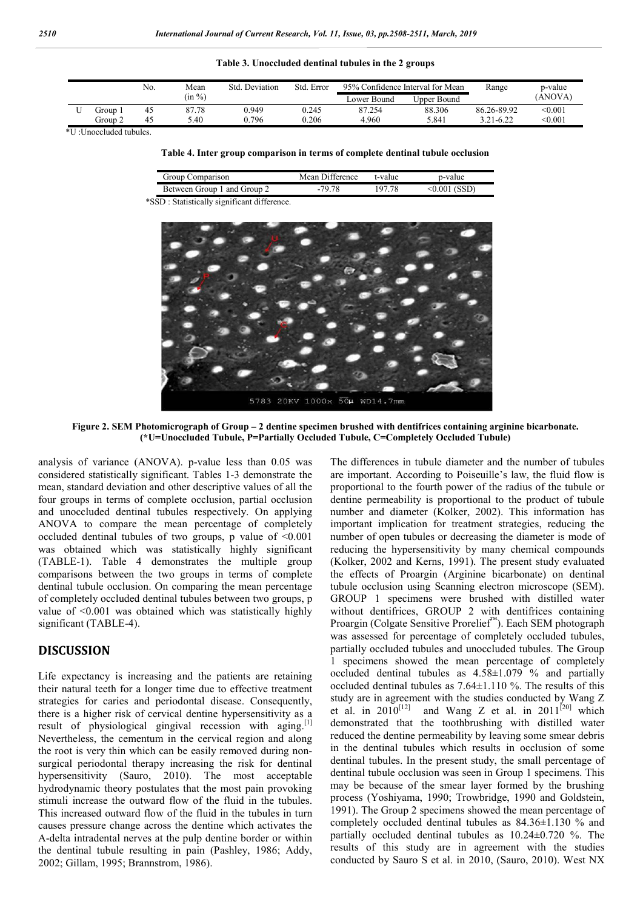### **Table 3. Unoccluded dentinal tubules in the 2 groups**

|         | No. | Mean   | Std. Deviation | Std. Error | 95% Confidence Interval for Mean |             | Range       | p-value |
|---------|-----|--------|----------------|------------|----------------------------------|-------------|-------------|---------|
|         |     | (in %) |                |            | Lower Bound                      | Upper Bound |             | (ANOVA) |
| Group 1 | 45  | 87.78  | 0.949          | 0.245      | 87.254                           | 88.306      | 86.26-89.92 | < 0.001 |
| Group 2 | 45  | 5.40   | 0.796          | 0.206      | 4.960                            | 5.841       | 3.21-6.22   | < 0.001 |

\*U :Unoccluded tubules.

#### **Table 4. Inter group comparison in terms of complete dentinal tubule occlusion**

| Group Comparison                                                                              | Mean Difference | t-value | p-value         |
|-----------------------------------------------------------------------------------------------|-----------------|---------|-----------------|
| Between Group 1 and Group 2                                                                   | $-79.78$        | 197.78  | $< 0.001$ (SSD) |
| $\mathbf{m}$ $\alpha$ , $\beta$ is $\mathbf{m}$ in the set of $\alpha$ is the set of $\alpha$ |                 |         |                 |

\*SSD : Statistically significant difference.



**Figure 2. SEM Photomicrograph of Group – 2 dentine specimen brushed with dentifrices containing arginine bicarbonate. (\*U=Unoccluded Tubule, P=Partially Occluded Tubule, C=Completely Occluded Tubule)**

analysis of variance (ANOVA). p-value less than 0.05 was considered statistically significant. Tables 1-3 demonstrate the mean, standard deviation and other descriptive values of all the four groups in terms of complete occlusion, partial occlusion and unoccluded dentinal tubules respectively. On applying ANOVA to compare the mean percentage of completely occluded dentinal tubules of two groups, p value of <0.001 was obtained which was statistically highly significant (TABLE-1). Table 4 demonstrates the multiple group comparisons between the two groups in terms of complete dentinal tubule occlusion. On comparing the mean percentage of completely occluded dentinal tubules between two groups, p value of <0.001 was obtained which was statistically highly significant (TABLE-4).

## **DISCUSSION**

Life expectancy is increasing and the patients are retaining their natural teeth for a longer time due to effective treatment strategies for caries and periodontal disease. Consequently, there is a higher risk of cervical dentine hypersensitivity as a result of physiological gingival recession with aging.<sup>[1]</sup> Nevertheless, the cementum in the cervical region and along the root is very thin which can be easily removed during nonsurgical periodontal therapy increasing the risk for dentinal hypersensitivity (Sauro, 2010). The most acceptable hydrodynamic theory postulates that the most pain provoking stimuli increase the outward flow of the fluid in the tubules. This increased outward flow of the fluid in the tubules in turn causes pressure change across the dentine which activates the A-delta intradental nerves at the pulp dentine border or within the dentinal tubule resulting in pain (Pashley, 1986; Addy, 2002; Gillam, 1995; Brannstrom, 1986).

The differences in tubule diameter and the number of tubules are important. According to Poiseuille's law, the fluid flow is proportional to the fourth power of the radius of the tubule or dentine permeability is proportional to the product of tubule number and diameter (Kolker, 2002). This information has important implication for treatment strategies, reducing the number of open tubules or decreasing the diameter is mode of reducing the hypersensitivity by many chemical compounds (Kolker, 2002 and Kerns, 1991). The present study evaluated the effects of Proargin (Arginine bicarbonate) on dentinal tubule occlusion using Scanning electron microscope (SEM). GROUP 1 specimens were brushed with distilled water without dentifrices, GROUP 2 with dentifrices containing Proargin (Colgate Sensitive Prorelief™). Each SEM photograph was assessed for percentage of completely occluded tubules, partially occluded tubules and unoccluded tubules. The Group 1 specimens showed the mean percentage of completely occluded dentinal tubules as  $4.58\pm1.079$  % and partially occluded dentinal tubules as 7.64±1.110 %. The results of this study are in agreement with the studies conducted by Wang Z et al. in  $2010^{[12]}$  and Wang Z et al. in  $2011^{[20]}$  which demonstrated that the toothbrushing with distilled water reduced the dentine permeability by leaving some smear debris in the dentinal tubules which results in occlusion of some dentinal tubules. In the present study, the small percentage of dentinal tubule occlusion was seen in Group 1 specimens. This may be because of the smear layer formed by the brushing process (Yoshiyama, 1990; Trowbridge, 1990 and Goldstein, 1991). The Group 2 specimens showed the mean percentage of completely occluded dentinal tubules as 84.36±1.130 % and partially occluded dentinal tubules as 10.24±0.720 %. The results of this study are in agreement with the studies conducted by Sauro S et al. in 2010, (Sauro, 2010). West NX